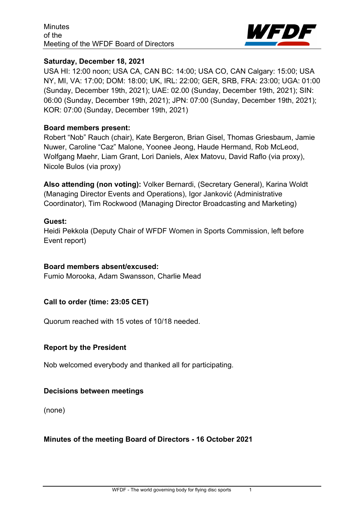

#### **Saturday, December 18, 2021**

USA HI: 12:00 noon; USA CA, CAN BC: 14:00; USA CO, CAN Calgary: 15:00; USA NY, MI, VA: 17:00; DOM: 18:00; UK, IRL: 22:00; GER, SRB, FRA: 23:00; UGA: 01:00 (Sunday, December 19th, 2021); UAE: 02.00 (Sunday, December 19th, 2021); SIN: 06:00 (Sunday, December 19th, 2021); JPN: 07:00 (Sunday, December 19th, 2021); KOR: 07:00 (Sunday, December 19th, 2021)

#### **Board members present:**

Robert "Nob" Rauch (chair), Kate Bergeron, Brian Gisel, Thomas Griesbaum, Jamie Nuwer, Caroline "Caz" Malone, Yoonee Jeong, Haude Hermand, Rob McLeod, Wolfgang Maehr, Liam Grant, Lori Daniels, Alex Matovu, David Raflo (via proxy), Nicole Bulos (via proxy)

**Also attending (non voting):** Volker Bernardi, (Secretary General), Karina Woldt (Managing Director Events and Operations), Igor Janković (Administrative Coordinator), Tim Rockwood (Managing Director Broadcasting and Marketing)

#### **Guest:**

Heidi Pekkola (Deputy Chair of WFDF Women in Sports Commission, left before Event report)

#### **Board members absent/excused:**

Fumio Morooka, Adam Swansson, Charlie Mead

## **Call to order (time: 23:05 CET)**

Quorum reached with 15 votes of 10/18 needed.

## **Report by the President**

Nob welcomed everybody and thanked all for participating.

#### **Decisions between meetings**

(none)

## **Minutes of the meeting Board of Directors - 16 October 2021**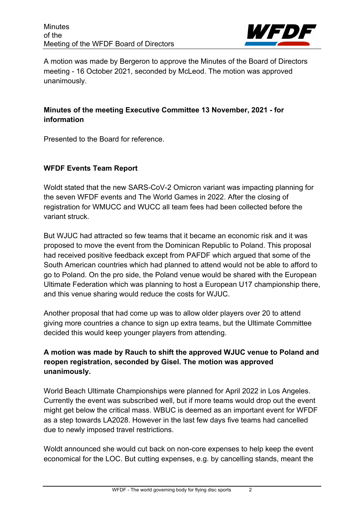

A motion was made by Bergeron to approve the Minutes of the Board of Directors meeting - 16 October 2021, seconded by McLeod. The motion was approved unanimously.

# **Minutes of the meeting Executive Committee 13 November, 2021 - for information**

Presented to the Board for reference.

# **WFDF Events Team Report**

Woldt stated that the new SARS-CoV-2 Omicron variant was impacting planning for the seven WFDF events and The World Games in 2022. After the closing of registration for WMUCC and WUCC all team fees had been collected before the variant struck.

But WJUC had attracted so few teams that it became an economic risk and it was proposed to move the event from the Dominican Republic to Poland. This proposal had received positive feedback except from PAFDF which argued that some of the South American countries which had planned to attend would not be able to afford to go to Poland. On the pro side, the Poland venue would be shared with the European Ultimate Federation which was planning to host a European U17 championship there, and this venue sharing would reduce the costs for WJUC.

Another proposal that had come up was to allow older players over 20 to attend giving more countries a chance to sign up extra teams, but the Ultimate Committee decided this would keep younger players from attending.

# **A motion was made by Rauch to shift the approved WJUC venue to Poland and reopen registration, seconded by Gisel. The motion was approved unanimously.**

World Beach Ultimate Championships were planned for April 2022 in Los Angeles. Currently the event was subscribed well, but if more teams would drop out the event might get below the critical mass. WBUC is deemed as an important event for WFDF as a step towards LA2028. However in the last few days five teams had cancelled due to newly imposed travel restrictions.

Woldt announced she would cut back on non-core expenses to help keep the event economical for the LOC. But cutting expenses, e.g. by cancelling stands, meant the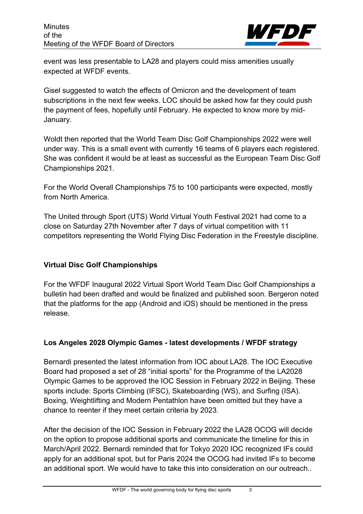

event was less presentable to LA28 and players could miss amenities usually expected at WFDF events.

Gisel suggested to watch the effects of Omicron and the development of team subscriptions in the next few weeks. LOC should be asked how far they could push the payment of fees, hopefully until February. He expected to know more by mid-January.

Woldt then reported that the World Team Disc Golf Championships 2022 were well under way. This is a small event with currently 16 teams of 6 players each registered. She was confident it would be at least as successful as the European Team Disc Golf Championships 2021.

For the World Overall Championships 75 to 100 participants were expected, mostly from North America.

The United through Sport (UTS) World Virtual Youth Festival 2021 had come to a close on Saturday 27th November after 7 days of virtual competition with 11 competitors representing the World Flying Disc Federation in the Freestyle discipline.

## **Virtual Disc Golf Championships**

For the WFDF Inaugural 2022 Virtual Sport World Team Disc Golf Championships a bulletin had been drafted and would be finalized and published soon. Bergeron noted that the platforms for the app (Android and iOS) should be mentioned in the press release.

# **Los Angeles 2028 Olympic Games - latest developments / WFDF strategy**

Bernardi presented the latest information from IOC about LA28. The IOC Executive Board had proposed a set of 28 "initial sports" for the Programme of the LA2028 Olympic Games to be approved the IOC Session in February 2022 in Beijing. These sports include: Sports Climbing (IFSC), Skateboarding (WS), and Surfing (ISA). Boxing, Weightlifting and Modern Pentathlon have been omitted but they have a chance to reenter if they meet certain criteria by 2023.

After the decision of the IOC Session in February 2022 the LA28 OCOG will decide on the option to propose additional sports and communicate the timeline for this in March/April 2022. Bernardi reminded that for Tokyo 2020 IOC recognized IFs could apply for an additional spot, but for Paris 2024 the OCOG had invited IFs to become an additional sport. We would have to take this into consideration on our outreach..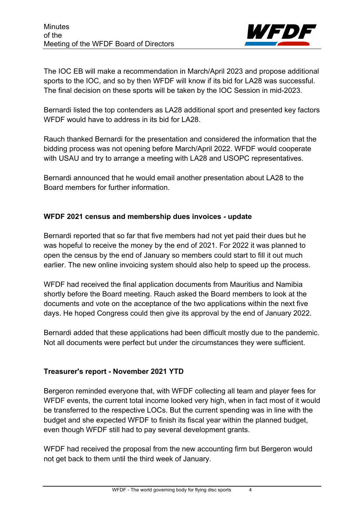

The IOC EB will make a recommendation in March/April 2023 and propose additional sports to the IOC, and so by then WFDF will know if its bid for LA28 was successful. The final decision on these sports will be taken by the IOC Session in mid-2023.

Bernardi listed the top contenders as LA28 additional sport and presented key factors WFDF would have to address in its bid for LA28.

Rauch thanked Bernardi for the presentation and considered the information that the bidding process was not opening before March/April 2022. WFDF would cooperate with USAU and try to arrange a meeting with LA28 and USOPC representatives.

Bernardi announced that he would email another presentation about LA28 to the Board members for further information.

## **WFDF 2021 census and membership dues invoices - update**

Bernardi reported that so far that five members had not yet paid their dues but he was hopeful to receive the money by the end of 2021. For 2022 it was planned to open the census by the end of January so members could start to fill it out much earlier. The new online invoicing system should also help to speed up the process.

WFDF had received the final application documents from Mauritius and Namibia shortly before the Board meeting. Rauch asked the Board members to look at the documents and vote on the acceptance of the two applications within the next five days. He hoped Congress could then give its approval by the end of January 2022.

Bernardi added that these applications had been difficult mostly due to the pandemic. Not all documents were perfect but under the circumstances they were sufficient.

## **Treasurer's report - November 2021 YTD**

Bergeron reminded everyone that, with WFDF collecting all team and player fees for WFDF events, the current total income looked very high, when in fact most of it would be transferred to the respective LOCs. But the current spending was in line with the budget and she expected WFDF to finish its fiscal year within the planned budget, even though WFDF still had to pay several development grants.

WFDF had received the proposal from the new accounting firm but Bergeron would not get back to them until the third week of January.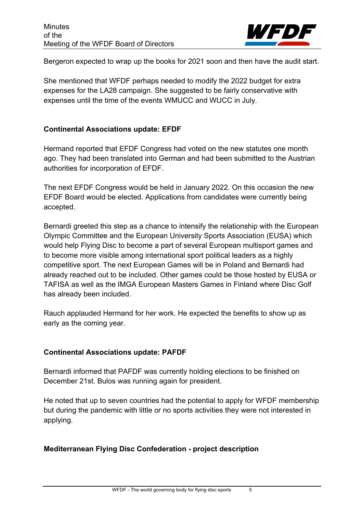

Bergeron expected to wrap up the books for 2021 soon and then have the audit start.

She mentioned that WFDF perhaps needed to modify the 2022 budget for extra expenses for the LA28 campaign. She suggested to be fairly conservative with expenses until the time of the events WMUCC and WUCC in July.

#### **Continental Associations update: EFDF**

Hermand reported that EFDF Congress had voted on the new statutes one month ago. They had been translated into German and had been submitted to the Austrian authorities for incorporation of EFDF.

The next EFDF Congress would be held in January 2022. On this occasion the new EFDF Board would be elected. Applications from candidates were currently being accepted.

Bernardi greeted this step as a chance to intensify the relationship with the European Olympic Committee and the European University Sports Association (EUSA) which would help Flying Disc to become a part of several European multisport games and to become more visible among international sport political leaders as a highly competitive sport. The next European Games will be in Poland and Bernardi had already reached out to be included. Other games could be those hosted by EUSA or TAFISA as well as the IMGA European Masters Games in Finland where Disc Golf has already been included.

Rauch applauded Hermand for her work. He expected the benefits to show up as early as the coming year.

## **Continental Associations update: PAFDF**

Bernardi informed that PAFDF was currently holding elections to be finished on December 21st. Bulos was running again for president.

He noted that up to seven countries had the potential to apply for WFDF membership but during the pandemic with little or no sports activities they were not interested in applying.

## **Mediterranean Flying Disc Confederation - project description**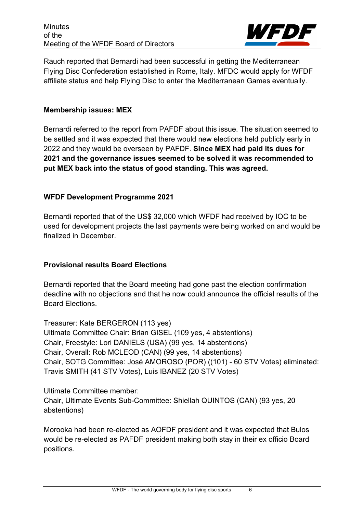

Rauch reported that Bernardi had been successful in getting the Mediterranean Flying Disc Confederation established in Rome, Italy. MFDC would apply for WFDF affiliate status and help Flying Disc to enter the Mediterranean Games eventually.

#### **Membership issues: MEX**

Bernardi referred to the report from PAFDF about this issue. The situation seemed to be settled and it was expected that there would new elections held publicly early in 2022 and they would be overseen by PAFDF. **Since MEX had paid its dues for 2021 and the governance issues seemed to be solved it was recommended to put MEX back into the status of good standing. This was agreed.**

## **WFDF Development Programme 2021**

Bernardi reported that of the US\$ 32,000 which WFDF had received by IOC to be used for development projects the last payments were being worked on and would be finalized in December.

## **Provisional results Board Elections**

Bernardi reported that the Board meeting had gone past the election confirmation deadline with no objections and that he now could announce the official results of the Board Elections.

Treasurer: Kate BERGERON (113 yes) Ultimate Committee Chair: Brian GISEL (109 yes, 4 abstentions) Chair, Freestyle: Lori DANIELS (USA) (99 yes, 14 abstentions) Chair, Overall: Rob MCLEOD (CAN) (99 yes, 14 abstentions) Chair, SOTG Committee: José AMOROSO (POR) ((101) - 60 STV Votes) eliminated: Travis SMITH (41 STV Votes), Luis IBANEZ (20 STV Votes)

Ultimate Committee member: Chair, Ultimate Events Sub-Committee: Shiellah QUINTOS (CAN) (93 yes, 20 abstentions)

Morooka had been re-elected as AOFDF president and it was expected that Bulos would be re-elected as PAFDF president making both stay in their ex officio Board positions.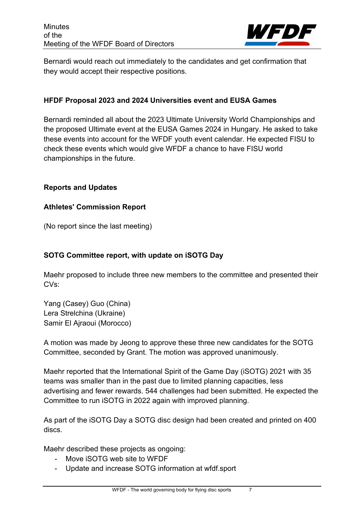

Bernardi would reach out immediately to the candidates and get confirmation that they would accept their respective positions.

## **HFDF Proposal 2023 and 2024 Universities event and EUSA Games**

Bernardi reminded all about the 2023 Ultimate University World Championships and the proposed Ultimate event at the EUSA Games 2024 in Hungary. He asked to take these events into account for the WFDF youth event calendar. He expected FISU to check these events which would give WFDF a chance to have FISU world championships in the future.

## **Reports and Updates**

#### **Athletes' Commission Report**

(No report since the last meeting)

#### **SOTG Committee report, with update on iSOTG Day**

Maehr proposed to include three new members to the committee and presented their CVs:

Yang (Casey) Guo (China) Lera Strelchina (Ukraine) Samir El Ajraoui (Morocco)

A motion was made by Jeong to approve these three new candidates for the SOTG Committee, seconded by Grant. The motion was approved unanimously.

Maehr reported that the International Spirit of the Game Day (iSOTG) 2021 with 35 teams was smaller than in the past due to limited planning capacities, less advertising and fewer rewards. 544 challenges had been submitted. He expected the Committee to run iSOTG in 2022 again with improved planning.

As part of the iSOTG Day a SOTG disc design had been created and printed on 400 discs.

Maehr described these projects as ongoing:

- Move iSOTG web site to WFDF
- Update and increase SOTG information at wfdf.sport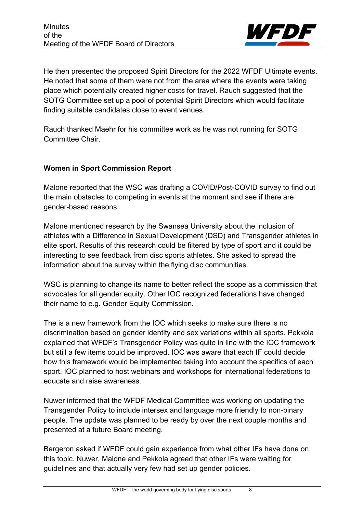

He then presented the proposed Spirit Directors for the 2022 WFDF Ultimate events. He noted that some of them were not from the area where the events were taking place which potentially created higher costs for travel. Rauch suggested that the SOTG Committee set up a pool of potential Spirit Directors which would facilitate finding suitable candidates close to event venues.

Rauch thanked Maehr for his committee work as he was not running for SOTG Committee Chair.

## **Women in Sport Commission Report**

Malone reported that the WSC was drafting a COVID/Post-COVID survey to find out the main obstacles to competing in events at the moment and see if there are gender-based reasons.

Malone mentioned research by the Swansea University about the inclusion of athletes with a Difference in Sexual Development (DSD) and Transgender athletes in elite sport. Results of this research could be filtered by type of sport and it could be interesting to see feedback from disc sports athletes. She asked to spread the information about the survey within the flying disc communities.

WSC is planning to change its name to better reflect the scope as a commission that advocates for all gender equity. Other IOC recognized federations have changed their name to e.g. Gender Equity Commission.

The is a new framework from the IOC which seeks to make sure there is no discrimination based on gender identity and sex variations within all sports. Pekkola explained that WFDF's Transgender Policy was quite in line with the IOC framework but still a few items could be improved. IOC was aware that each IF could decide how this framework would be implemented taking into account the specifics of each sport. IOC planned to host webinars and workshops for international federations to educate and raise awareness.

Nuwer informed that the WFDF Medical Committee was working on updating the Transgender Policy to include intersex and language more friendly to non-binary people. The update was planned to be ready by over the next couple months and presented at a future Board meeting.

Bergeron asked if WFDF could gain experience from what other IFs have done on this topic. Nuwer, Malone and Pekkola agreed that other IFs were waiting for guidelines and that actually very few had set up gender policies.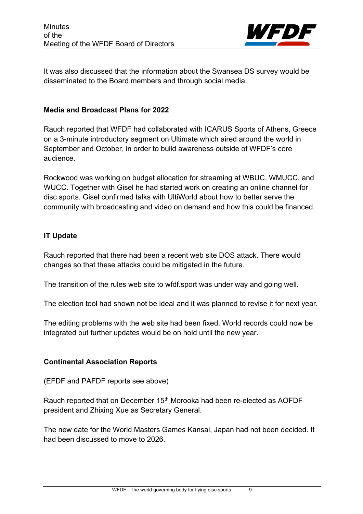

It was also discussed that the information about the Swansea DS survey would be disseminated to the Board members and through social media.

#### **Media and Broadcast Plans for 2022**

Rauch reported that WFDF had collaborated with ICARUS Sports of Athens, Greece on a 3-minute introductory segment on Ultimate which aired around the world in September and October, in order to build awareness outside of WFDF's core audience.

Rockwood was working on budget allocation for streaming at WBUC, WMUCC, and WUCC. Together with Gisel he had started work on creating an online channel for disc sports. Gisel confirmed talks with UltiWorld about how to better serve the community with broadcasting and video on demand and how this could be financed.

## **IT Update**

Rauch reported that there had been a recent web site DOS attack. There would changes so that these attacks could be mitigated in the future.

The transition of the rules web site to wfdf.sport was under way and going well.

The election tool had shown not be ideal and it was planned to revise it for next year.

The editing problems with the web site had been fixed. World records could now be integrated but further updates would be on hold until the new year.

## **Continental Association Reports**

(EFDF and PAFDF reports see above)

Rauch reported that on December 15<sup>th</sup> Morooka had been re-elected as AOFDF president and Zhixing Xue as Secretary General.

The new date for the World Masters Games Kansai, Japan had not been decided. It had been discussed to move to 2026.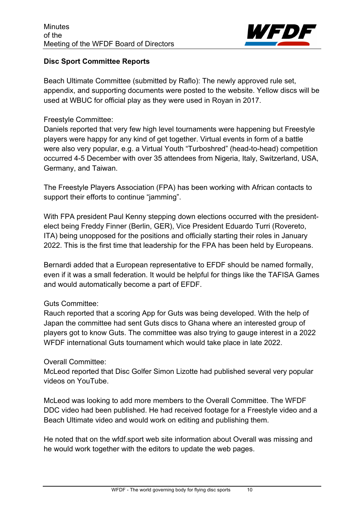

## **Disc Sport Committee Reports**

Beach Ultimate Committee (submitted by Raflo): The newly approved rule set, appendix, and supporting documents were posted to the website. Yellow discs will be used at WBUC for official play as they were used in Royan in 2017.

## Freestyle Committee:

Daniels reported that very few high level tournaments were happening but Freestyle players were happy for any kind of get together. Virtual events in form of a battle were also very popular, e.g. a Virtual Youth "Turboshred" (head-to-head) competition occurred 4-5 December with over 35 attendees from Nigeria, Italy, Switzerland, USA, Germany, and Taiwan.

The Freestyle Players Association (FPA) has been working with African contacts to support their efforts to continue "jamming".

With FPA president Paul Kenny stepping down elections occurred with the presidentelect being Freddy Finner (Berlin, GER), Vice President Eduardo Turri (Rovereto, ITA) being unopposed for the positions and officially starting their roles in January 2022. This is the first time that leadership for the FPA has been held by Europeans.

Bernardi added that a European representative to EFDF should be named formally, even if it was a small federation. It would be helpful for things like the TAFISA Games and would automatically become a part of EFDF.

## Guts Committee:

Rauch reported that a scoring App for Guts was being developed. With the help of Japan the committee had sent Guts discs to Ghana where an interested group of players got to know Guts. The committee was also trying to gauge interest in a 2022 WFDF international Guts tournament which would take place in late 2022.

## Overall Committee:

McLeod reported that Disc Golfer Simon Lizotte had published several very popular videos on YouTube.

McLeod was looking to add more members to the Overall Committee. The WFDF DDC video had been published. He had received footage for a Freestyle video and a Beach Ultimate video and would work on editing and publishing them.

He noted that on the wfdf.sport web site information about Overall was missing and he would work together with the editors to update the web pages.